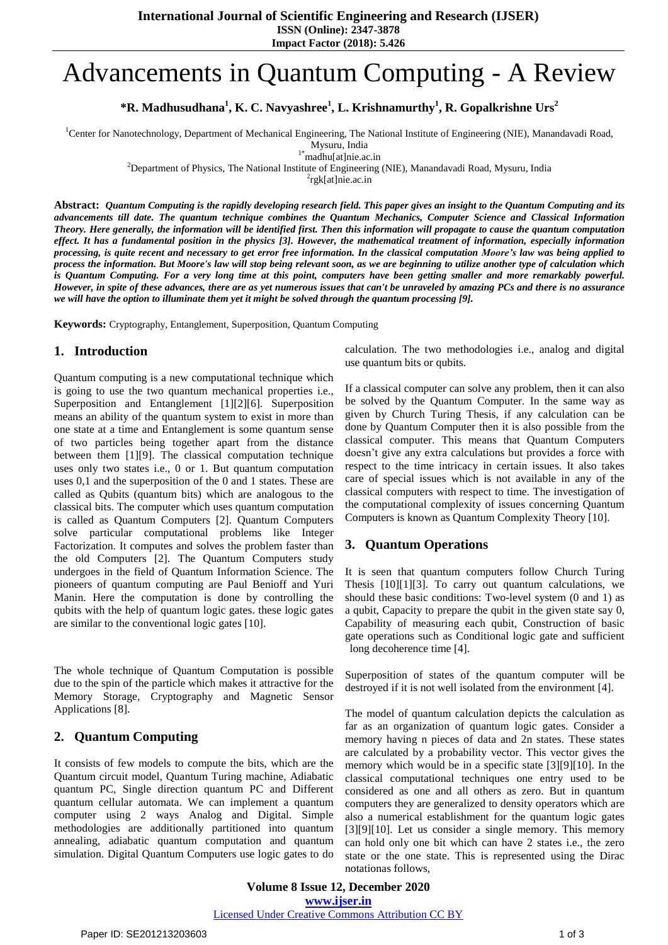**International Journal of Scientific Engineering and Research (IJSER)**

**ISSN (Online): 2347-3878**

**Impact Factor (2018): 5.426**

# Advancements in Quantum Computing - A Review

**\*R. Madhusudhana<sup>1</sup> , K. C. Navyashree<sup>1</sup> , L. Krishnamurthy<sup>1</sup> , R. Gopalkrishne Urs<sup>2</sup>**

<sup>1</sup>Center for Nanotechnology, Department of Mechanical Engineering, The National Institute of Engineering (NIE), Manandavadi Road,

Mysuru, India

1\*madhu[at]nie.ac.in

<sup>2</sup>Department of Physics, The National Institute of Engineering (NIE), Manandavadi Road, Mysuru, India

2 rgk[at]nie.ac.in

Abstract: Ouantum Computing is the rapidly developing research field. This paper gives an insight to the Ouantum Computing and its advancements till date. The quantum technique combines the Quantum Mechanics, Computer Science and Classical Information Theory. Here generally, the information will be identified first. Then this information will propagate to cause the quantum computation effect. It has a fundamental position in the physics [3]. However, the mathematical treatment of information, especially information processing, is quite recent and necessary to get error free information. In the classical computation Moore's law was being applied to process the information. But Moore's law will stop being relevant soon, as we are beginning to utilize another type of calculation which is Quantum Computing. For a very long time at this point, computers have been getting smaller and more remarkably powerful. However, in spite of these advances, there are as yet numerous issues that can't be unraveled by amazing PCs and there is no assurance we will have the option to illuminate them yet it might be solved through the quantum processing [9].

**Keywords:** Cryptography, Entanglement, Superposition, Quantum Computing

#### **1. Introduction**

Quantum computing is a new computational technique which is going to use the two quantum mechanical properties i.e., Superposition and Entanglement [1][2][6]. Superposition means an ability of the quantum system to exist in more than one state at a time and Entanglement is some quantum sense of two particles being together apart from the distance between them [1][9]. The classical computation technique uses only two states i.e., 0 or 1. But quantum computation uses 0,1 and the superposition of the 0 and 1 states. These are called as Qubits (quantum bits) which are analogous to the classical bits. The computer which uses quantum computation is called as Quantum Computers [2]. Quantum Computers solve particular computational problems like Integer Factorization. It computes and solves the problem faster than the old Computers [2]. The Quantum Computers study undergoes in the field of Quantum Information Science. The pioneers of quantum computing are Paul Benioff and Yuri Manin. Here the computation is done by controlling the qubits with the help of quantum logic gates. these logic gates are similar to the conventional logic gates [10].

The whole technique of Quantum Computation is possible due to the spin of the particle which makes it attractive for the Memory Storage, Cryptography and Magnetic Sensor Applications [8].

### **2. Quantum Computing**

It consists of few models to compute the bits, which are the Quantum circuit model, Quantum Turing machine, Adiabatic quantum PC, Single direction quantum PC and Different quantum cellular automata. We can implement a quantum computer using 2 ways Analog and Digital. Simple methodologies are additionally partitioned into quantum annealing, adiabatic quantum computation and quantum simulation. Digital Quantum Computers use logic gates to do calculation. The two methodologies i.e., analog and digital use quantum bits or qubits.

If a classical computer can solve any problem, then it can also be solved by the Quantum Computer. In the same way as given by Church Turing Thesis, if any calculation can be done by Quantum Computer then it is also possible from the classical computer. This means that Quantum Computers doesn't give any extra calculations but provides a force with respect to the time intricacy in certain issues. It also takes care of special issues which is not available in any of the classical computers with respect to time. The investigation of the computational complexity of issues concerning Quantum Computers is known as Quantum Complexity Theory [10].

### **3. Quantum Operations**

It is seen that quantum computers follow Church Turing Thesis [10][1][3]. To carry out quantum calculations, we should these basic conditions: Two-level system (0 and 1) as a qubit, Capacity to prepare the qubit in the given state say 0, Capability of measuring each qubit, Construction of basic gate operations such as Conditional logic gate and sufficient long decoherence time [4].

Superposition of states of the quantum computer will be destroyed if it is not well isolated from the environment [4].

The model of quantum calculation depicts the calculation as far as an organization of quantum logic gates. Consider a memory having n pieces of data and 2n states. These states are calculated by a probability vector. This vector gives the memory which would be in a specific state [3][9][10]. In the classical computational techniques one entry used to be considered as one and all others as zero. But in quantum computers they are generalized to density operators which are also a numerical establishment for the quantum logic gates [3][9][10]. Let us consider a single memory. This memory can hold only one bit which can have 2 states i.e., the zero state or the one state. This is represented using the [Dirac](https://en.wikipedia.org/wiki/Bra%E2%80%93ket_notation) [notationa](https://en.wikipedia.org/wiki/Bra%E2%80%93ket_notation)s follows,

**Volume 8 Issue 12, December 2020 www.ijser.in** Licensed Under Creative Commons Attribution CC BY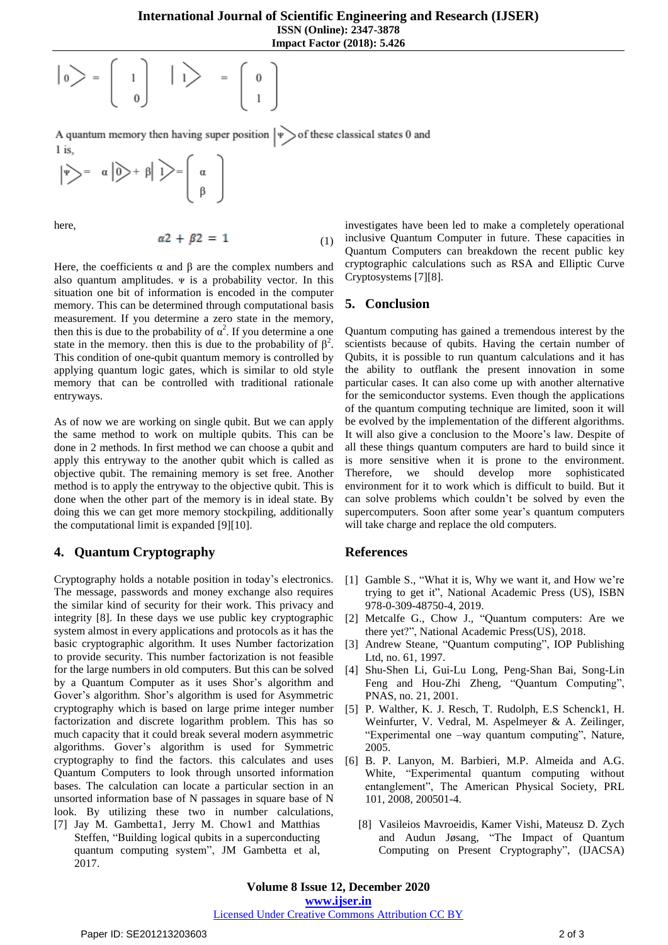$$
\Big|0\Big> = \left[\begin{array}{c}1\\0\end{array}\right] \Big|1\Big> = \left[\begin{array}{c}0\\1\end{array}\right]
$$

A quantum memory then having super position  $|\psi\rangle$  of these classical states 0 and  $1$  is.

$$
\left|\psi\right\rangle = \alpha \left|\hat{0}\right\rangle + \beta \left|\hat{1}\right\rangle = \left(\begin{array}{c} \alpha \\ \beta \end{array}\right)
$$

here,

$$
\alpha 2 + \beta 2 = 1 \tag{1}
$$

Here, the coefficients  $\alpha$  and  $\beta$  are the complex numbers and also quantum amplitudes.  $\Psi$  is a probability vector. In this situation one bit of information is encoded in the computer memory. This can be determined through computational basis measurement. If you determine a zero state in the memory, then this is due to the probability of  $\alpha^2$ . If you determine a one state in the memory. then this is due to the probability of  $\beta^2$ . This condition of one-qubit quantum memory is controlled by applying quantum logic gates, which is similar to old style memory that can be controlled with traditional rationale entryways.

As of now we are working on single qubit. But we can apply the same method to work on multiple qubits. This can be done in 2 methods. In first method we can choose a qubit and apply this entryway to the another qubit which is called as objective qubit. The remaining memory is set free. Another method is to apply the entryway to the objective qubit. This is done when the other part of the memory is in ideal state. By doing this we can get more memory stockpiling, additionally the computational limit is expanded [9][10].

### **4. Quantum Cryptography**

Cryptography holds a notable position in today's electronics. The message, passwords and money exchange also requires the similar kind of security for their work. This privacy and integrity [8]. In these days we use public key cryptographic system almost in every applications and protocols as it has the basic cryptographic algorithm. It uses Number factorization to provide security. This number factorization is not feasible for the large numbers in old computers. But this can be solved by a Quantum Computer as it uses Shor's algorithm and Gover's algorithm. Shor's algorithm is used for Asymmetric cryptography which is based on large prime integer number factorization and discrete logarithm problem. This has so much capacity that it could break several modern asymmetric algorithms. Gover's algorithm is used for Symmetric cryptography to find the factors. this calculates and uses Quantum Computers to look through unsorted information bases. The calculation can locate a particular section in an unsorted information base of N passages in square base of N look. By utilizing these two in number calculations, [7] Jay M. Gambetta1, Jerry M. Chow1 and Matthias

Steffen, "Building logical qubits in a superconducting quantum computing system", JM Gambetta et al, 2017.

investigates have been led to make a completely operational inclusive Quantum Computer in future. These capacities in Quantum Computers can breakdown the recent public key cryptographic calculations such as RSA and Elliptic Curve Cryptosystems [7][8].

# **5. Conclusion**

Quantum computing has gained a tremendous interest by the scientists because of qubits. Having the certain number of Qubits, it is possible to run quantum calculations and it has the ability to outflank the present innovation in some particular cases. It can also come up with another alternative for the semiconductor systems. Even though the applications of the quantum computing technique are limited, soon it will be evolved by the implementation of the different algorithms. It will also give a conclusion to the Moore's law. Despite of all these things quantum computers are hard to build since it is more sensitive when it is prone to the environment. Therefore, we should develop more sophisticated environment for it to work which is difficult to build. But it can solve problems which couldn't be solved by even the supercomputers. Soon after some year's quantum computers will take charge and replace the old computers.

### **References**

- [1] Gamble S., "What it is, Why we want it, and How we're trying to get it", National Academic Press (US), ISBN 978-0-309-48750-4, 2019.
- [2] Metcalfe G., Chow J., "Quantum computers: Are we there yet?", National Academic Press(US), 2018.
- [3] Andrew Steane, "Quantum computing", IOP Publishing Ltd, no. 61, 1997.
- [4] Shu-Shen Li, Gui-Lu Long, Peng-Shan Bai, Song-Lin Feng and Hou-Zhi Zheng, "Quantum Computing", PNAS, no. 21, 2001.
- [5] P. Walther, K. J. Resch, T. Rudolph, E.S Schenck1, H. Weinfurter, V. Vedral, M. Aspelmeyer & A. Zeilinger, "Experimental one –way quantum computing", Nature, 2005.
- [6] B. P. Lanyon, M. Barbieri, M.P. Almeida and A.G. White, "Experimental quantum computing without entanglement", The American Physical Society, PRL 101, 2008, 200501-4.
	- [8] Vasileios Mavroeidis, Kamer Vishi, Mateusz D. Zych and Audun Jøsang, "The Impact of Quantum Computing on Present Cryptography", (IJACSA)

# Licensed Under Creative Commons Attribution CC BY